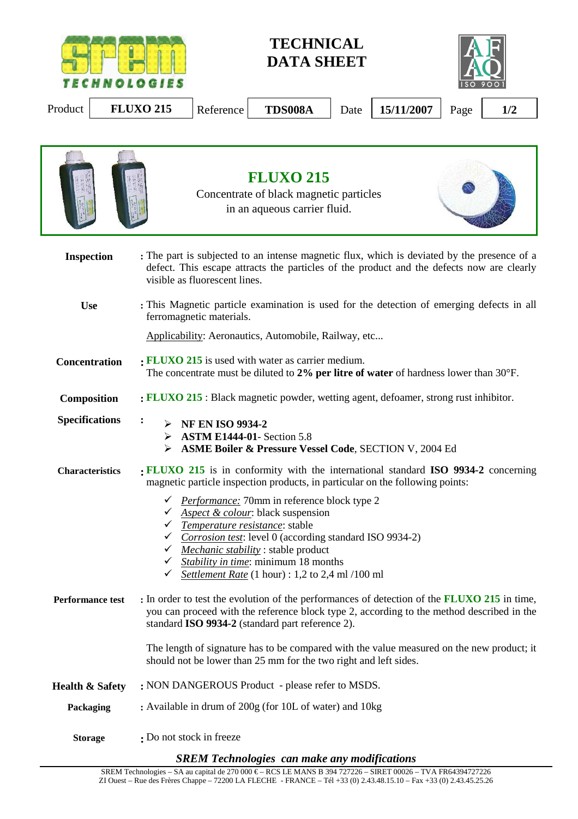

**TECHNICAL DATA SHEET** 



Product **FLUXO 215** Reference **TDS008A** Date 15/11/2007 Page 1/2



*SREM Technologies can make any modifications*